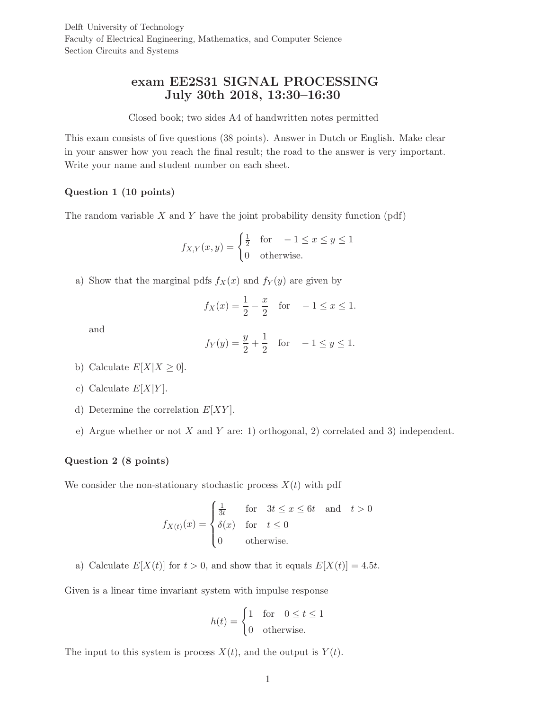Delft University of Technology Faculty of Electrical Engineering, Mathematics, and Computer Science Section Circuits and Systems

# exam EE2S31 SIGNAL PROCESSING July 30th 2018, 13:30–16:30

#### Closed book; two sides A4 of handwritten notes permitted

This exam consists of five questions (38 points). Answer in Dutch or English. Make clear in your answer how you reach the final result; the road to the answer is very important. Write your name and student number on each sheet.

# Question 1 (10 points)

The random variable  $X$  and  $Y$  have the joint probability density function (pdf)

$$
f_{X,Y}(x,y) = \begin{cases} \frac{1}{2} & \text{for } -1 \le x \le y \le 1\\ 0 & \text{otherwise.} \end{cases}
$$

a) Show that the marginal pdfs  $f_X(x)$  and  $f_Y(y)$  are given by

$$
f_X(x) = \frac{1}{2} - \frac{x}{2}
$$
 for  $-1 \le x \le 1$ .

and

$$
f_Y(y) = \frac{y}{2} + \frac{1}{2}
$$
 for  $-1 \le y \le 1$ .

- b) Calculate  $E[X|X \geq 0]$ .
- c) Calculate  $E[X|Y]$ .
- d) Determine the correlation  $E[XY]$ .
- e) Argue whether or not X and Y are: 1) orthogonal, 2) correlated and 3) independent.

#### Question 2 (8 points)

We consider the non-stationary stochastic process  $X(t)$  with pdf

$$
f_{X(t)}(x) = \begin{cases} \frac{1}{3t} & \text{for} \quad 3t \le x \le 6t \quad \text{and} \quad t > 0\\ \delta(x) & \text{for} \quad t \le 0\\ 0 & \text{otherwise.} \end{cases}
$$

a) Calculate  $E[X(t)]$  for  $t > 0$ , and show that it equals  $E[X(t)] = 4.5t$ .

Given is a linear time invariant system with impulse response

$$
h(t) = \begin{cases} 1 & \text{for} \quad 0 \le t \le 1 \\ 0 & \text{otherwise.} \end{cases}
$$

The input to this system is process  $X(t)$ , and the output is  $Y(t)$ .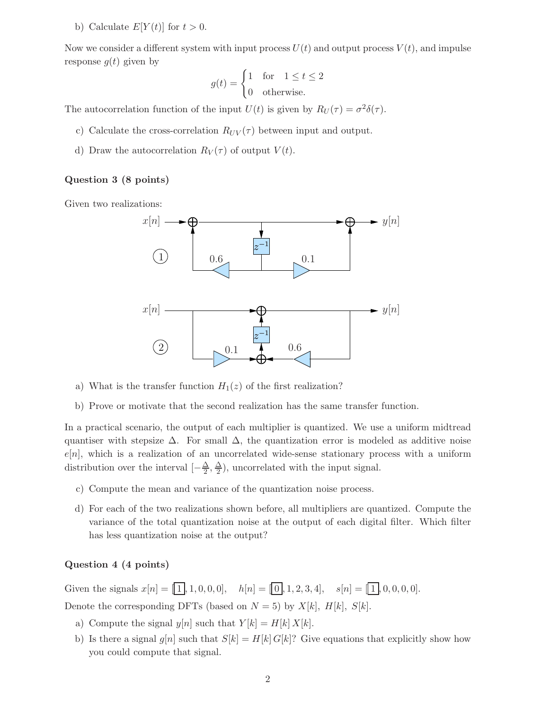b) Calculate  $E[Y(t)]$  for  $t > 0$ .

Now we consider a different system with input process  $U(t)$  and output process  $V(t)$ , and impulse response  $q(t)$  given by

$$
g(t) = \begin{cases} 1 & \text{for} \quad 1 \le t \le 2 \\ 0 & \text{otherwise.} \end{cases}
$$

The autocorrelation function of the input  $U(t)$  is given by  $R_U(\tau) = \sigma^2 \delta(\tau)$ .

- c) Calculate the cross-correlation  $R_{UV}(\tau)$  between input and output.
- d) Draw the autocorrelation  $R_V(\tau)$  of output  $V(t)$ .

### Question 3 (8 points)

Given two realizations:



- a) What is the transfer function  $H_1(z)$  of the first realization?
- b) Prove or motivate that the second realization has the same transfer function.

In a practical scenario, the output of each multiplier is quantized. We use a uniform midtread quantiser with stepsize  $\Delta$ . For small  $\Delta$ , the quantization error is modeled as additive noise  $e[n]$ , which is a realization of an uncorrelated wide-sense stationary process with a uniform distribution over the interval  $\left[-\frac{\Delta}{2}, \frac{\Delta}{2}\right]$  $\frac{\Delta}{2}$ , uncorrelated with the input signal.

- c) Compute the mean and variance of the quantization noise process.
- d) For each of the two realizations shown before, all multipliers are quantized. Compute the variance of the total quantization noise at the output of each digital filter. Which filter has less quantization noise at the output?

#### Question 4 (4 points)

Given the signals  $x[n] = [\overline{1}], 1, 0, 0, 0], \quad h[n] = [\overline{0}], 1, 2, 3, 4], \quad s[n] = [\overline{1}], 0, 0, 0, 0].$ Denote the corresponding DFTs (based on  $N = 5$ ) by  $X[k]$ ,  $H[k]$ ,  $S[k]$ .

- a) Compute the signal  $y[n]$  such that  $Y[k] = H[k] X[k]$ .
- b) Is there a signal  $g[n]$  such that  $S[k] = H[k] G[k]$ ? Give equations that explicitly show how you could compute that signal.